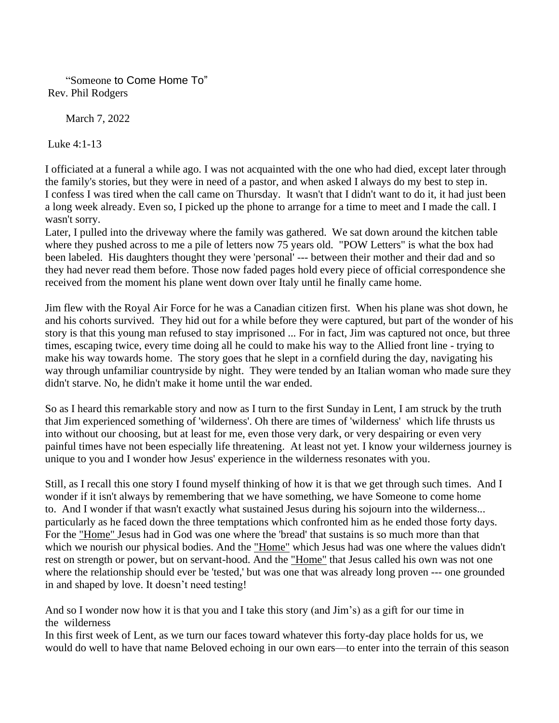"Someone to Come Home To" Rev. Phil Rodgers

March 7, 2022

Luke 4:1-13

I officiated at a funeral a while ago. I was not acquainted with the one who had died, except later through the family's stories, but they were in need of a pastor, and when asked I always do my best to step in. I confess I was tired when the call came on Thursday. It wasn't that I didn't want to do it, it had just been a long week already. Even so, I picked up the phone to arrange for a time to meet and I made the call. I wasn't sorry.

Later, I pulled into the driveway where the family was gathered. We sat down around the kitchen table where they pushed across to me a pile of letters now 75 years old. "POW Letters" is what the box had been labeled. His daughters thought they were 'personal' --- between their mother and their dad and so they had never read them before. Those now faded pages hold every piece of official correspondence she received from the moment his plane went down over Italy until he finally came home.

Jim flew with the Royal Air Force for he was a Canadian citizen first. When his plane was shot down, he and his cohorts survived. They hid out for a while before they were captured, but part of the wonder of his story is that this young man refused to stay imprisoned ... For in fact, Jim was captured not once, but three times, escaping twice, every time doing all he could to make his way to the Allied front line - trying to make his way towards home. The story goes that he slept in a cornfield during the day, navigating his way through unfamiliar countryside by night. They were tended by an Italian woman who made sure they didn't starve. No, he didn't make it home until the war ended.

So as I heard this remarkable story and now as I turn to the first Sunday in Lent, I am struck by the truth that Jim experienced something of 'wilderness'. Oh there are times of 'wilderness' which life thrusts us into without our choosing, but at least for me, even those very dark, or very despairing or even very painful times have not been especially life threatening. At least not yet. I know your wilderness journey is unique to you and I wonder how Jesus' experience in the wilderness resonates with you.

Still, as I recall this one story I found myself thinking of how it is that we get through such times. And I wonder if it isn't always by remembering that we have something, we have Someone to come home to. And I wonder if that wasn't exactly what sustained Jesus during his sojourn into the wilderness... particularly as he faced down the three temptations which confronted him as he ended those forty days. For the "Home" Jesus had in God was one where the 'bread' that sustains is so much more than that which we nourish our physical bodies. And the "Home" which Jesus had was one where the values didn't rest on strength or power, but on servant-hood. And the "Home" that Jesus called his own was not one where the relationship should ever be 'tested,' but was one that was already long proven --- one grounded in and shaped by love. It doesn't need testing!

And so I wonder now how it is that you and I take this story (and Jim's) as a gift for our time in the wilderness

In this first week of Lent, as we turn our faces toward whatever this forty-day place holds for us, we would do well to have that name Beloved echoing in our own ears—to enter into the terrain of this season